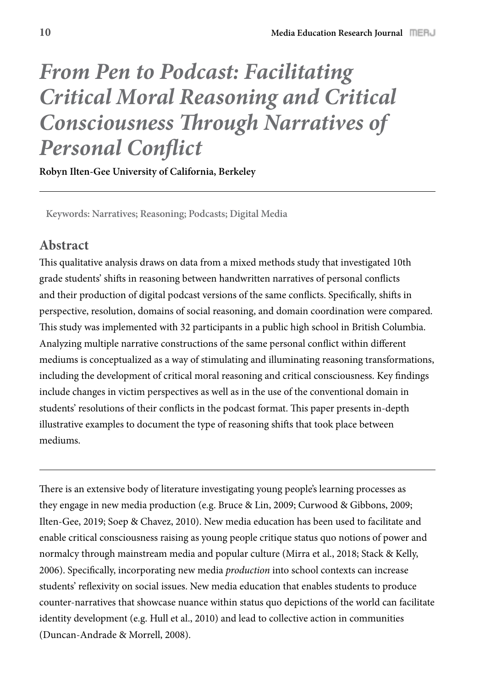# *From Pen to Podcast: Facilitating Critical Moral Reasoning and Critical Consciousness* **!***rough Narratives of*  **Personal Conflict**

**Robyn Ilten-Gee University of California, Berkeley**

**Keywords: Narratives; Reasoning; Podcasts; Digital Media** 

## **Abstract**

This qualitative analysis draws on data from a mixed methods study that investigated 10th grade students' shifts in reasoning between handwritten narratives of personal conflicts and their production of digital podcast versions of the same conflicts. Specifically, shifts in perspective, resolution, domains of social reasoning, and domain coordination were compared. This study was implemented with 32 participants in a public high school in British Columbia. Analyzing multiple narrative constructions of the same personal conflict within different mediums is conceptualized as a way of stimulating and illuminating reasoning transformations, including the development of critical moral reasoning and critical consciousness. Key findings include changes in victim perspectives as well as in the use of the conventional domain in students' resolutions of their conflicts in the podcast format. This paper presents in-depth illustrative examples to document the type of reasoning shifts that took place between mediums.

There is an extensive body of literature investigating young people's learning processes as they engage in new media production (e.g. Bruce & Lin, 2009; Curwood & Gibbons, 2009; Ilten-Gee, 2019; Soep & Chavez, 2010). New media education has been used to facilitate and enable critical consciousness raising as young people critique status quo notions of power and normalcy through mainstream media and popular culture (Mirra et al., 2018; Stack & Kelly, 2006). Specifically, incorporating new media *production* into school contexts can increase students' reflexivity on social issues. New media education that enables students to produce counter-narratives that showcase nuance within status quo depictions of the world can facilitate identity development (e.g. Hull et al., 2010) and lead to collective action in communities (Duncan-Andrade & Morrell, 2008).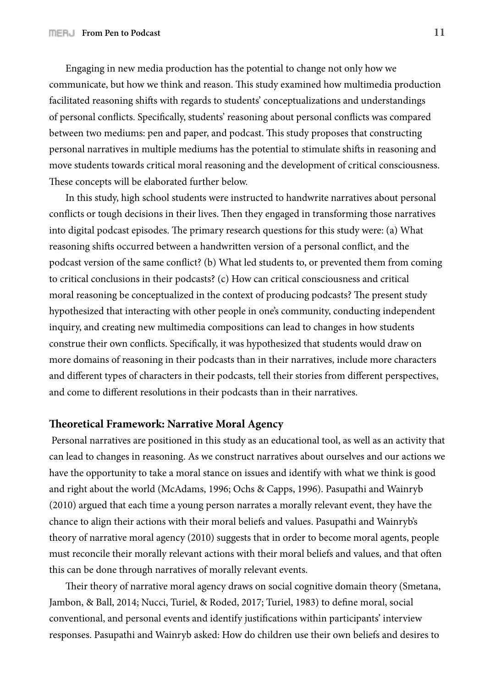Engaging in new media production has the potential to change not only how we communicate, but how we think and reason. This study examined how multimedia production facilitated reasoning shifts with regards to students' conceptualizations and understandings of personal conflicts. Specifically, students' reasoning about personal conflicts was compared between two mediums: pen and paper, and podcast. This study proposes that constructing personal narratives in multiple mediums has the potential to stimulate shifts in reasoning and move students towards critical moral reasoning and the development of critical consciousness. These concepts will be elaborated further below.

In this study, high school students were instructed to handwrite narratives about personal conflicts or tough decisions in their lives. Then they engaged in transforming those narratives into digital podcast episodes. The primary research questions for this study were: (a) What reasoning shifts occurred between a handwritten version of a personal conflict, and the podcast version of the same conflict? (b) What led students to, or prevented them from coming to critical conclusions in their podcasts? (c) How can critical consciousness and critical moral reasoning be conceptualized in the context of producing podcasts? The present study hypothesized that interacting with other people in one's community, conducting independent inquiry, and creating new multimedia compositions can lead to changes in how students construe their own conflicts. Specifically, it was hypothesized that students would draw on more domains of reasoning in their podcasts than in their narratives, include more characters and different types of characters in their podcasts, tell their stories from different perspectives, and come to different resolutions in their podcasts than in their narratives.

#### **!eoretical Framework: Narrative Moral Agency**

 Personal narratives are positioned in this study as an educational tool, as well as an activity that can lead to changes in reasoning. As we construct narratives about ourselves and our actions we have the opportunity to take a moral stance on issues and identify with what we think is good and right about the world (McAdams, 1996; Ochs & Capps, 1996). Pasupathi and Wainryb (2010) argued that each time a young person narrates a morally relevant event, they have the chance to align their actions with their moral beliefs and values. Pasupathi and Wainryb's theory of narrative moral agency (2010) suggests that in order to become moral agents, people must reconcile their morally relevant actions with their moral beliefs and values, and that often this can be done through narratives of morally relevant events.

Their theory of narrative moral agency draws on social cognitive domain theory (Smetana, Jambon, & Ball, 2014; Nucci, Turiel, & Roded, 2017; Turiel, 1983) to define moral, social conventional, and personal events and identify justifications within participants' interview responses. Pasupathi and Wainryb asked: How do children use their own beliefs and desires to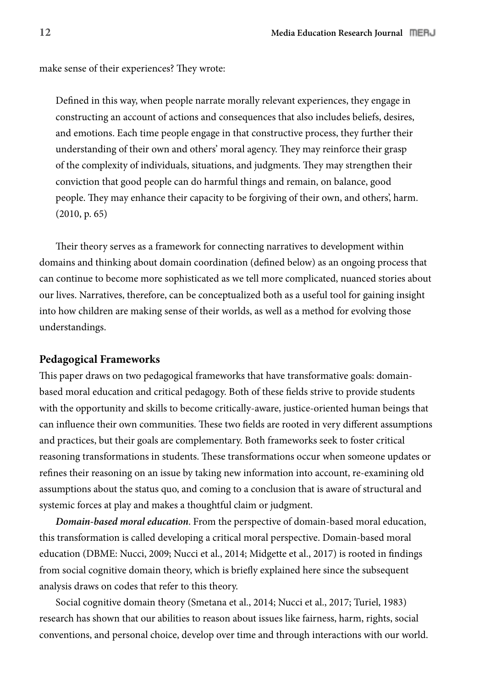make sense of their experiences? They wrote:

Defined in this way, when people narrate morally relevant experiences, they engage in constructing an account of actions and consequences that also includes beliefs, desires, and emotions. Each time people engage in that constructive process, they further their understanding of their own and others' moral agency. They may reinforce their grasp of the complexity of individuals, situations, and judgments. They may strengthen their conviction that good people can do harmful things and remain, on balance, good people. They may enhance their capacity to be forgiving of their own, and others', harm. (2010, p. 65)

Their theory serves as a framework for connecting narratives to development within domains and thinking about domain coordination (defined below) as an ongoing process that can continue to become more sophisticated as we tell more complicated, nuanced stories about our lives. Narratives, therefore, can be conceptualized both as a useful tool for gaining insight into how children are making sense of their worlds, as well as a method for evolving those understandings.

#### **Pedagogical Frameworks**

This paper draws on two pedagogical frameworks that have transformative goals: domainbased moral education and critical pedagogy. Both of these fields strive to provide students with the opportunity and skills to become critically-aware, justice-oriented human beings that can influence their own communities. These two fields are rooted in very different assumptions and practices, but their goals are complementary. Both frameworks seek to foster critical reasoning transformations in students. These transformations occur when someone updates or refines their reasoning on an issue by taking new information into account, re-examining old assumptions about the status quo, and coming to a conclusion that is aware of structural and systemic forces at play and makes a thoughtful claim or judgment.

*Domain-based moral education*. From the perspective of domain-based moral education, this transformation is called developing a critical moral perspective. Domain-based moral education (DBME: Nucci, 2009; Nucci et al., 2014; Midgette et al., 2017) is rooted in findings from social cognitive domain theory, which is briefly explained here since the subsequent analysis draws on codes that refer to this theory.

Social cognitive domain theory (Smetana et al., 2014; Nucci et al., 2017; Turiel, 1983) research has shown that our abilities to reason about issues like fairness, harm, rights, social conventions, and personal choice, develop over time and through interactions with our world.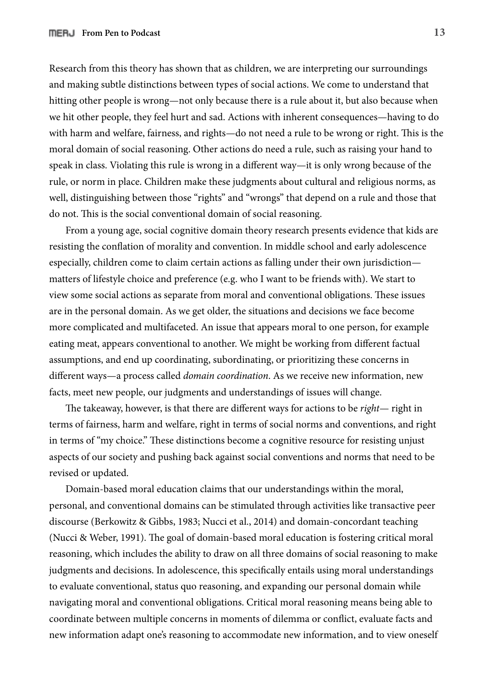Research from this theory has shown that as children, we are interpreting our surroundings and making subtle distinctions between types of social actions. We come to understand that hitting other people is wrong—not only because there is a rule about it, but also because when we hit other people, they feel hurt and sad. Actions with inherent consequences—having to do with harm and welfare, fairness, and rights—do not need a rule to be wrong or right. This is the moral domain of social reasoning. Other actions do need a rule, such as raising your hand to speak in class. Violating this rule is wrong in a different way—it is only wrong because of the rule, or norm in place. Children make these judgments about cultural and religious norms, as well, distinguishing between those "rights" and "wrongs" that depend on a rule and those that do not. This is the social conventional domain of social reasoning.

From a young age, social cognitive domain theory research presents evidence that kids are resisting the conflation of morality and convention. In middle school and early adolescence especially, children come to claim certain actions as falling under their own jurisdiction matters of lifestyle choice and preference (e.g. who I want to be friends with). We start to view some social actions as separate from moral and conventional obligations. These issues are in the personal domain. As we get older, the situations and decisions we face become more complicated and multifaceted. An issue that appears moral to one person, for example eating meat, appears conventional to another. We might be working from different factual assumptions, and end up coordinating, subordinating, or prioritizing these concerns in different ways—a process called *domain coordination*. As we receive new information, new facts, meet new people, our judgments and understandings of issues will change.

The takeaway, however, is that there are different ways for actions to be *right*— right in terms of fairness, harm and welfare, right in terms of social norms and conventions, and right in terms of "my choice." These distinctions become a cognitive resource for resisting unjust aspects of our society and pushing back against social conventions and norms that need to be revised or updated.

Domain-based moral education claims that our understandings within the moral, personal, and conventional domains can be stimulated through activities like transactive peer discourse (Berkowitz & Gibbs, 1983; Nucci et al., 2014) and domain-concordant teaching (Nucci & Weber, 1991). The goal of domain-based moral education is fostering critical moral reasoning, which includes the ability to draw on all three domains of social reasoning to make judgments and decisions. In adolescence, this specifically entails using moral understandings to evaluate conventional, status quo reasoning, and expanding our personal domain while navigating moral and conventional obligations. Critical moral reasoning means being able to coordinate between multiple concerns in moments of dilemma or conflict, evaluate facts and new information adapt one's reasoning to accommodate new information, and to view oneself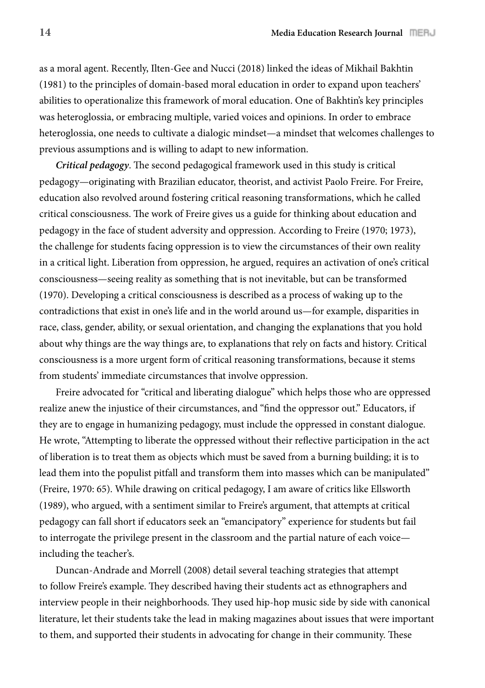as a moral agent. Recently, Ilten-Gee and Nucci (2018) linked the ideas of Mikhail Bakhtin (1981) to the principles of domain-based moral education in order to expand upon teachers' abilities to operationalize this framework of moral education. One of Bakhtin's key principles was heteroglossia, or embracing multiple, varied voices and opinions. In order to embrace heteroglossia, one needs to cultivate a dialogic mindset—a mindset that welcomes challenges to previous assumptions and is willing to adapt to new information.

*Critical pedagogy*. The second pedagogical framework used in this study is critical pedagogy—originating with Brazilian educator, theorist, and activist Paolo Freire. For Freire, education also revolved around fostering critical reasoning transformations, which he called critical consciousness. The work of Freire gives us a guide for thinking about education and pedagogy in the face of student adversity and oppression. According to Freire (1970; 1973), the challenge for students facing oppression is to view the circumstances of their own reality in a critical light. Liberation from oppression, he argued, requires an activation of one's critical consciousness—seeing reality as something that is not inevitable, but can be transformed (1970). Developing a critical consciousness is described as a process of waking up to the contradictions that exist in one's life and in the world around us—for example, disparities in race, class, gender, ability, or sexual orientation, and changing the explanations that you hold about why things are the way things are, to explanations that rely on facts and history. Critical consciousness is a more urgent form of critical reasoning transformations, because it stems from students' immediate circumstances that involve oppression.

Freire advocated for "critical and liberating dialogue" which helps those who are oppressed realize anew the injustice of their circumstances, and "find the oppressor out." Educators, if they are to engage in humanizing pedagogy, must include the oppressed in constant dialogue. He wrote, "Attempting to liberate the oppressed without their reflective participation in the act of liberation is to treat them as objects which must be saved from a burning building; it is to lead them into the populist pitfall and transform them into masses which can be manipulated" (Freire, 1970: 65). While drawing on critical pedagogy, I am aware of critics like Ellsworth (1989), who argued, with a sentiment similar to Freire's argument, that attempts at critical pedagogy can fall short if educators seek an "emancipatory" experience for students but fail to interrogate the privilege present in the classroom and the partial nature of each voice including the teacher's.

Duncan-Andrade and Morrell (2008) detail several teaching strategies that attempt to follow Freire's example. They described having their students act as ethnographers and interview people in their neighborhoods. They used hip-hop music side by side with canonical literature, let their students take the lead in making magazines about issues that were important to them, and supported their students in advocating for change in their community. These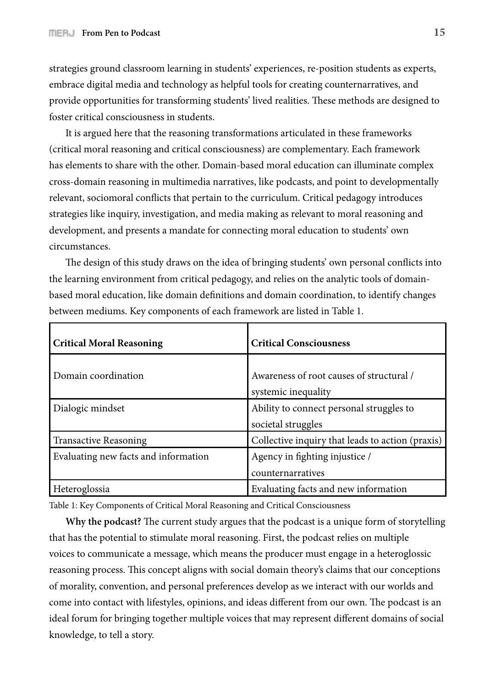strategies ground classroom learning in students' experiences, re-position students as experts, embrace digital media and technology as helpful tools for creating counternarratives, and provide opportunities for transforming students' lived realities. These methods are designed to foster critical consciousness in students.

It is argued here that the reasoning transformations articulated in these frameworks (critical moral reasoning and critical consciousness) are complementary. Each framework has elements to share with the other. Domain-based moral education can illuminate complex cross-domain reasoning in multimedia narratives, like podcasts, and point to developmentally relevant, sociomoral conflicts that pertain to the curriculum. Critical pedagogy introduces strategies like inquiry, investigation, and media making as relevant to moral reasoning and development, and presents a mandate for connecting moral education to students' own circumstances.

The design of this study draws on the idea of bringing students' own personal conflicts into the learning environment from critical pedagogy, and relies on the analytic tools of domainbased moral education, like domain definitions and domain coordination, to identify changes between mediums. Key components of each framework are listed in Table 1.

| <b>Critical Moral Reasoning</b>      | <b>Critical Consciousness</b>                                   |
|--------------------------------------|-----------------------------------------------------------------|
| Domain coordination                  | Awareness of root causes of structural /<br>systemic inequality |
| Dialogic mindset                     | Ability to connect personal struggles to<br>societal struggles  |
| Transactive Reasoning                | Collective inquiry that leads to action (praxis)                |
| Evaluating new facts and information | Agency in fighting injustice /<br>counternarratives             |
| Heteroglossia                        | Evaluating facts and new information                            |

Table 1: Key Components of Critical Moral Reasoning and Critical Consciousness

**Why the podcast?** The current study argues that the podcast is a unique form of storytelling that has the potential to stimulate moral reasoning. First, the podcast relies on multiple voices to communicate a message, which means the producer must engage in a heteroglossic reasoning process. This concept aligns with social domain theory's claims that our conceptions of morality, convention, and personal preferences develop as we interact with our worlds and come into contact with lifestyles, opinions, and ideas different from our own. The podcast is an ideal forum for bringing together multiple voices that may represent different domains of social knowledge, to tell a story.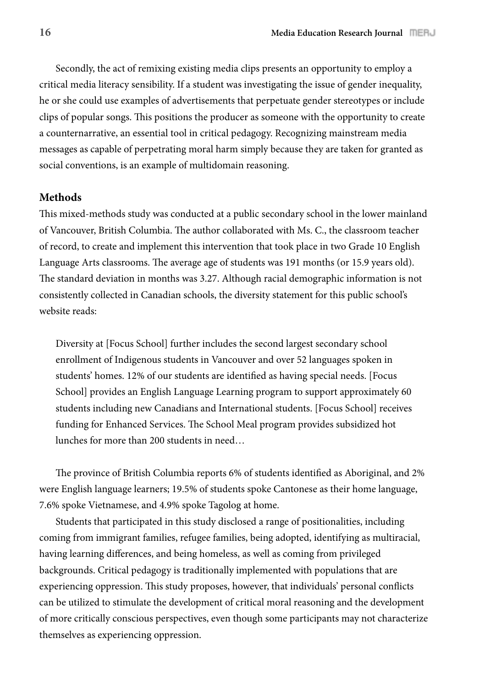Secondly, the act of remixing existing media clips presents an opportunity to employ a critical media literacy sensibility. If a student was investigating the issue of gender inequality, he or she could use examples of advertisements that perpetuate gender stereotypes or include clips of popular songs. This positions the producer as someone with the opportunity to create a counternarrative, an essential tool in critical pedagogy. Recognizing mainstream media messages as capable of perpetrating moral harm simply because they are taken for granted as social conventions, is an example of multidomain reasoning.

### **Methods**

This mixed-methods study was conducted at a public secondary school in the lower mainland of Vancouver, British Columbia. The author collaborated with Ms. C., the classroom teacher of record, to create and implement this intervention that took place in two Grade 10 English Language Arts classrooms. The average age of students was 191 months (or 15.9 years old). The standard deviation in months was 3.27. Although racial demographic information is not consistently collected in Canadian schools, the diversity statement for this public school's website reads:

Diversity at [Focus School] further includes the second largest secondary school enrollment of Indigenous students in Vancouver and over 52 languages spoken in students' homes. 12% of our students are identified as having special needs. [Focus School] provides an English Language Learning program to support approximately 60 students including new Canadians and International students. [Focus School] receives funding for Enhanced Services. The School Meal program provides subsidized hot lunches for more than 200 students in need…

The province of British Columbia reports 6% of students identified as Aboriginal, and 2% were English language learners; 19.5% of students spoke Cantonese as their home language, 7.6% spoke Vietnamese, and 4.9% spoke Tagolog at home.

Students that participated in this study disclosed a range of positionalities, including coming from immigrant families, refugee families, being adopted, identifying as multiracial, having learning differences, and being homeless, as well as coming from privileged backgrounds. Critical pedagogy is traditionally implemented with populations that are experiencing oppression. This study proposes, however, that individuals' personal conflicts can be utilized to stimulate the development of critical moral reasoning and the development of more critically conscious perspectives, even though some participants may not characterize themselves as experiencing oppression.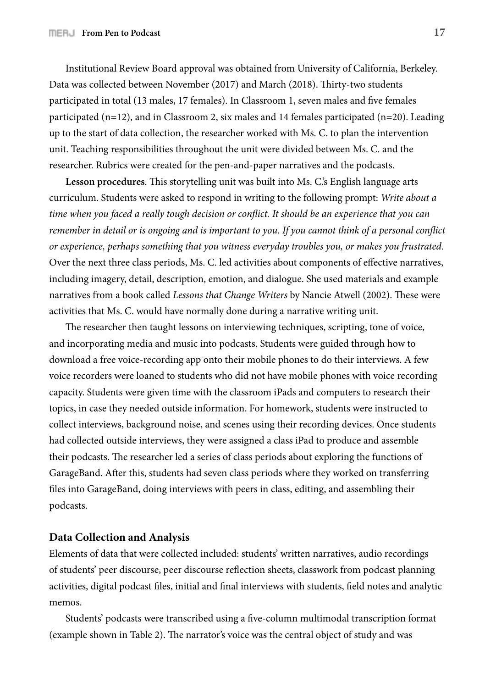Institutional Review Board approval was obtained from University of California, Berkeley. Data was collected between November (2017) and March (2018). Thirty-two students participated in total (13 males, 17 females). In Classroom 1, seven males and five females participated (n=12), and in Classroom 2, six males and 14 females participated (n=20). Leading up to the start of data collection, the researcher worked with Ms. C. to plan the intervention unit. Teaching responsibilities throughout the unit were divided between Ms. C. and the researcher. Rubrics were created for the pen-and-paper narratives and the podcasts.

Lesson procedures. This storytelling unit was built into Ms. C.'s English language arts curriculum. Students were asked to respond in writing to the following prompt: *Write about a time when you faced a really tough decision or conflict. It should be an experience that you can remember in detail or is ongoing and is important to you. If you cannot think of a personal conflict or experience, perhaps something that you witness everyday troubles you, or makes you frustrated*. Over the next three class periods, Ms. C. led activities about components of effective narratives, including imagery, detail, description, emotion, and dialogue. She used materials and example narratives from a book called *Lessons that Change Writers* by Nancie Atwell (2002). These were activities that Ms. C. would have normally done during a narrative writing unit.

The researcher then taught lessons on interviewing techniques, scripting, tone of voice, and incorporating media and music into podcasts. Students were guided through how to download a free voice-recording app onto their mobile phones to do their interviews. A few voice recorders were loaned to students who did not have mobile phones with voice recording capacity. Students were given time with the classroom iPads and computers to research their topics, in case they needed outside information. For homework, students were instructed to collect interviews, background noise, and scenes using their recording devices. Once students had collected outside interviews, they were assigned a class iPad to produce and assemble their podcasts. The researcher led a series of class periods about exploring the functions of GarageBand. After this, students had seven class periods where they worked on transferring files into GarageBand, doing interviews with peers in class, editing, and assembling their podcasts.

#### **Data Collection and Analysis**

Elements of data that were collected included: students' written narratives, audio recordings of students' peer discourse, peer discourse reflection sheets, classwork from podcast planning activities, digital podcast files, initial and final interviews with students, field notes and analytic memos.

Students' podcasts were transcribed using a five-column multimodal transcription format (example shown in Table 2). The narrator's voice was the central object of study and was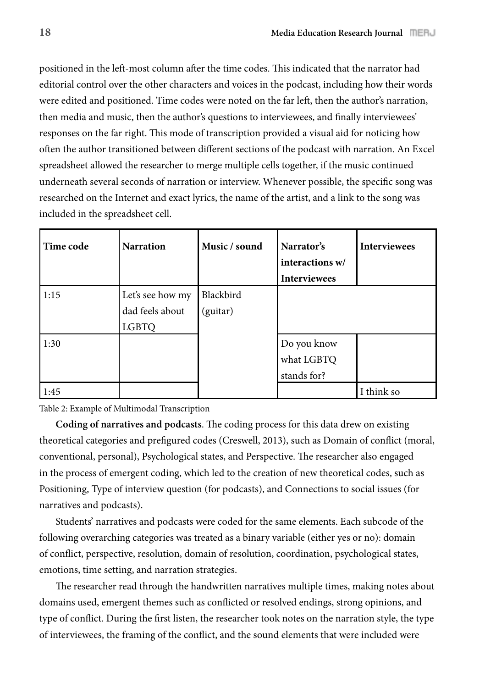positioned in the left-most column after the time codes. This indicated that the narrator had editorial control over the other characters and voices in the podcast, including how their words were edited and positioned. Time codes were noted on the far left, then the author's narration, then media and music, then the author's questions to interviewees, and finally interviewees' responses on the far right. This mode of transcription provided a visual aid for noticing how often the author transitioned between different sections of the podcast with narration. An Excel spreadsheet allowed the researcher to merge multiple cells together, if the music continued underneath several seconds of narration or interview. Whenever possible, the specific song was researched on the Internet and exact lyrics, the name of the artist, and a link to the song was included in the spreadsheet cell.

| Time code | <b>Narration</b>                    | Music / sound         | Narrator's<br>interactions w/<br><b>Interviewees</b> | <b>Interviewees</b> |
|-----------|-------------------------------------|-----------------------|------------------------------------------------------|---------------------|
| 1:15      | Let's see how my<br>dad feels about | Blackbird<br>(guitar) |                                                      |                     |
|           | <b>LGBTQ</b>                        |                       |                                                      |                     |
| 1:30      |                                     |                       | Do you know                                          |                     |
|           |                                     |                       | what LGBTQ                                           |                     |
|           |                                     |                       | stands for?                                          |                     |
| 1:45      |                                     |                       |                                                      | I think so          |

Table 2: Example of Multimodal Transcription

**Coding of narratives and podcasts.** The coding process for this data drew on existing theoretical categories and prefigured codes (Creswell, 2013), such as Domain of conflict (moral, conventional, personal), Psychological states, and Perspective. The researcher also engaged in the process of emergent coding, which led to the creation of new theoretical codes, such as Positioning, Type of interview question (for podcasts), and Connections to social issues (for narratives and podcasts).

Students' narratives and podcasts were coded for the same elements. Each subcode of the following overarching categories was treated as a binary variable (either yes or no): domain of conflict, perspective, resolution, domain of resolution, coordination, psychological states, emotions, time setting, and narration strategies.

The researcher read through the handwritten narratives multiple times, making notes about domains used, emergent themes such as conflicted or resolved endings, strong opinions, and type of conflict. During the first listen, the researcher took notes on the narration style, the type of interviewees, the framing of the conflict, and the sound elements that were included were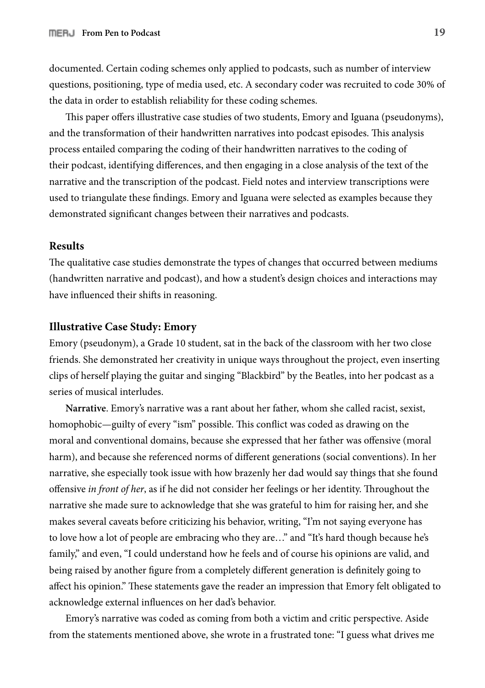documented. Certain coding schemes only applied to podcasts, such as number of interview questions, positioning, type of media used, etc. A secondary coder was recruited to code 30% of the data in order to establish reliability for these coding schemes.

This paper offers illustrative case studies of two students, Emory and Iguana (pseudonyms), and the transformation of their handwritten narratives into podcast episodes. This analysis process entailed comparing the coding of their handwritten narratives to the coding of their podcast, identifying differences, and then engaging in a close analysis of the text of the narrative and the transcription of the podcast. Field notes and interview transcriptions were used to triangulate these findings. Emory and Iguana were selected as examples because they demonstrated significant changes between their narratives and podcasts.

#### **Results**

The qualitative case studies demonstrate the types of changes that occurred between mediums (handwritten narrative and podcast), and how a student's design choices and interactions may have influenced their shifts in reasoning.

#### **Illustrative Case Study: Emory**

Emory (pseudonym), a Grade 10 student, sat in the back of the classroom with her two close friends. She demonstrated her creativity in unique ways throughout the project, even inserting clips of herself playing the guitar and singing "Blackbird" by the Beatles, into her podcast as a series of musical interludes.

**Narrative**. Emory's narrative was a rant about her father, whom she called racist, sexist, homophobic—guilty of every "ism" possible. This conflict was coded as drawing on the moral and conventional domains, because she expressed that her father was offensive (moral harm), and because she referenced norms of different generations (social conventions). In her narrative, she especially took issue with how brazenly her dad would say things that she found offensive *in front of her*, as if he did not consider her feelings or her identity. Throughout the narrative she made sure to acknowledge that she was grateful to him for raising her, and she makes several caveats before criticizing his behavior, writing, "I'm not saying everyone has to love how a lot of people are embracing who they are…" and "It's hard though because he's family," and even, "I could understand how he feels and of course his opinions are valid, and being raised by another figure from a completely different generation is definitely going to affect his opinion." These statements gave the reader an impression that Emory felt obligated to acknowledge external influences on her dad's behavior.

Emory's narrative was coded as coming from both a victim and critic perspective. Aside from the statements mentioned above, she wrote in a frustrated tone: "I guess what drives me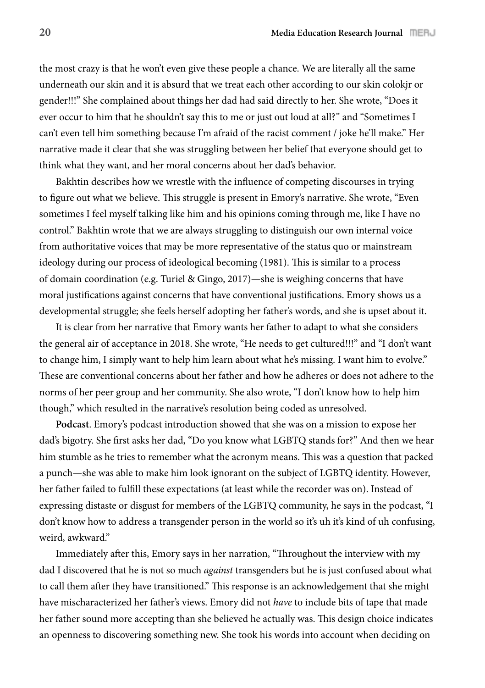the most crazy is that he won't even give these people a chance. We are literally all the same underneath our skin and it is absurd that we treat each other according to our skin colokjr or gender!!!" She complained about things her dad had said directly to her. She wrote, "Does it ever occur to him that he shouldn't say this to me or just out loud at all?" and "Sometimes I can't even tell him something because I'm afraid of the racist comment / joke he'll make." Her narrative made it clear that she was struggling between her belief that everyone should get to think what they want, and her moral concerns about her dad's behavior.

Bakhtin describes how we wrestle with the influence of competing discourses in trying to figure out what we believe. This struggle is present in Emory's narrative. She wrote, "Even sometimes I feel myself talking like him and his opinions coming through me, like I have no control." Bakhtin wrote that we are always struggling to distinguish our own internal voice from authoritative voices that may be more representative of the status quo or mainstream ideology during our process of ideological becoming (1981). This is similar to a process of domain coordination (e.g. Turiel & Gingo, 2017)—she is weighing concerns that have moral justifications against concerns that have conventional justifications. Emory shows us a developmental struggle; she feels herself adopting her father's words, and she is upset about it.

It is clear from her narrative that Emory wants her father to adapt to what she considers the general air of acceptance in 2018. She wrote, "He needs to get cultured!!!" and "I don't want to change him, I simply want to help him learn about what he's missing. I want him to evolve." These are conventional concerns about her father and how he adheres or does not adhere to the norms of her peer group and her community. She also wrote, "I don't know how to help him though," which resulted in the narrative's resolution being coded as unresolved.

**Podcast**. Emory's podcast introduction showed that she was on a mission to expose her dad's bigotry. She first asks her dad, "Do you know what LGBTQ stands for?" And then we hear him stumble as he tries to remember what the acronym means. This was a question that packed a punch—she was able to make him look ignorant on the subject of LGBTQ identity. However, her father failed to fulfill these expectations (at least while the recorder was on). Instead of expressing distaste or disgust for members of the LGBTQ community, he says in the podcast, "I don't know how to address a transgender person in the world so it's uh it's kind of uh confusing, weird, awkward."

Immediately after this, Emory says in her narration, "Throughout the interview with my dad I discovered that he is not so much *against* transgenders but he is just confused about what to call them after they have transitioned." This response is an acknowledgement that she might have mischaracterized her father's views. Emory did not *have* to include bits of tape that made her father sound more accepting than she believed he actually was. This design choice indicates an openness to discovering something new. She took his words into account when deciding on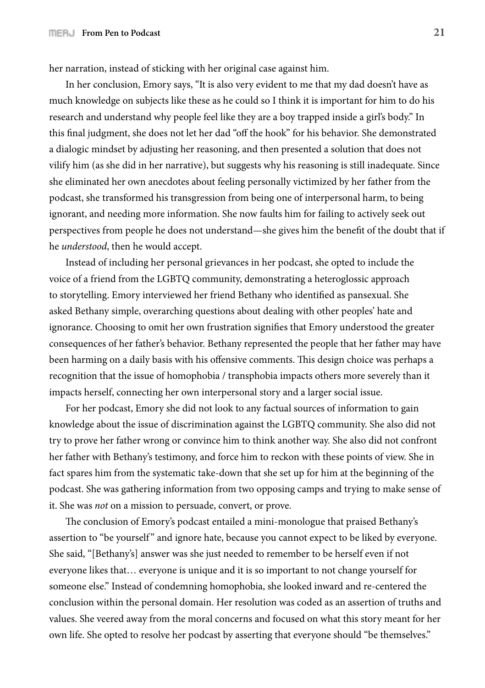her narration, instead of sticking with her original case against him.

In her conclusion, Emory says, "It is also very evident to me that my dad doesn't have as much knowledge on subjects like these as he could so I think it is important for him to do his research and understand why people feel like they are a boy trapped inside a girl's body." In this final judgment, she does not let her dad "off the hook" for his behavior. She demonstrated a dialogic mindset by adjusting her reasoning, and then presented a solution that does not vilify him (as she did in her narrative), but suggests why his reasoning is still inadequate. Since she eliminated her own anecdotes about feeling personally victimized by her father from the podcast, she transformed his transgression from being one of interpersonal harm, to being ignorant, and needing more information. She now faults him for failing to actively seek out perspectives from people he does not understand—she gives him the benefit of the doubt that if he *understood*, then he would accept.

Instead of including her personal grievances in her podcast, she opted to include the voice of a friend from the LGBTQ community, demonstrating a heteroglossic approach to storytelling. Emory interviewed her friend Bethany who identified as pansexual. She asked Bethany simple, overarching questions about dealing with other peoples' hate and ignorance. Choosing to omit her own frustration signifies that Emory understood the greater consequences of her father's behavior. Bethany represented the people that her father may have been harming on a daily basis with his offensive comments. This design choice was perhaps a recognition that the issue of homophobia / transphobia impacts others more severely than it impacts herself, connecting her own interpersonal story and a larger social issue.

For her podcast, Emory she did not look to any factual sources of information to gain knowledge about the issue of discrimination against the LGBTQ community. She also did not try to prove her father wrong or convince him to think another way. She also did not confront her father with Bethany's testimony, and force him to reckon with these points of view. She in fact spares him from the systematic take-down that she set up for him at the beginning of the podcast. She was gathering information from two opposing camps and trying to make sense of it. She was *not* on a mission to persuade, convert, or prove.

The conclusion of Emory's podcast entailed a mini-monologue that praised Bethany's assertion to "be yourself " and ignore hate, because you cannot expect to be liked by everyone. She said, "[Bethany's] answer was she just needed to remember to be herself even if not everyone likes that… everyone is unique and it is so important to not change yourself for someone else." Instead of condemning homophobia, she looked inward and re-centered the conclusion within the personal domain. Her resolution was coded as an assertion of truths and values. She veered away from the moral concerns and focused on what this story meant for her own life. She opted to resolve her podcast by asserting that everyone should "be themselves."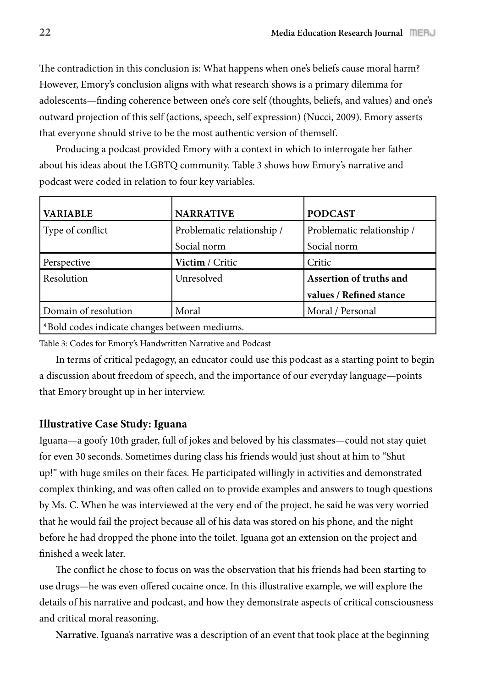The contradiction in this conclusion is: What happens when one's beliefs cause moral harm? However, Emory's conclusion aligns with what research shows is a primary dilemma for adolescents—finding coherence between one's core self (thoughts, beliefs, and values) and one's outward projection of this self (actions, speech, self expression) (Nucci, 2009). Emory asserts that everyone should strive to be the most authentic version of themself.

Producing a podcast provided Emory with a context in which to interrogate her father about his ideas about the LGBTQ community. Table 3 shows how Emory's narrative and podcast were coded in relation to four key variables.

| <b>VARIABLE</b>                               | <b>NARRATIVE</b>           | <b>PODCAST</b>             |
|-----------------------------------------------|----------------------------|----------------------------|
| Type of conflict                              | Problematic relationship / | Problematic relationship / |
|                                               | Social norm                | Social norm                |
| Perspective                                   | Victim / Critic            | Critic                     |
| Resolution                                    | Unresolved                 | Assertion of truths and    |
|                                               |                            | values / Refined stance    |
| Domain of resolution                          | Moral                      | Moral / Personal           |
| *Bold codes indicate changes between mediums. |                            |                            |

Table 3: Codes for Emory's Handwritten Narrative and Podcast

In terms of critical pedagogy, an educator could use this podcast as a starting point to begin a discussion about freedom of speech, and the importance of our everyday language—points that Emory brought up in her interview.

#### **Illustrative Case Study: Iguana**

Iguana—a goofy 10th grader, full of jokes and beloved by his classmates—could not stay quiet for even 30 seconds. Sometimes during class his friends would just shout at him to "Shut up!" with huge smiles on their faces. He participated willingly in activities and demonstrated complex thinking, and was often called on to provide examples and answers to tough questions by Ms. C. When he was interviewed at the very end of the project, he said he was very worried that he would fail the project because all of his data was stored on his phone, and the night before he had dropped the phone into the toilet. Iguana got an extension on the project and finished a week later.

The conflict he chose to focus on was the observation that his friends had been starting to use drugs—he was even offered cocaine once. In this illustrative example, we will explore the details of his narrative and podcast, and how they demonstrate aspects of critical consciousness and critical moral reasoning.

**Narrative**. Iguana's narrative was a description of an event that took place at the beginning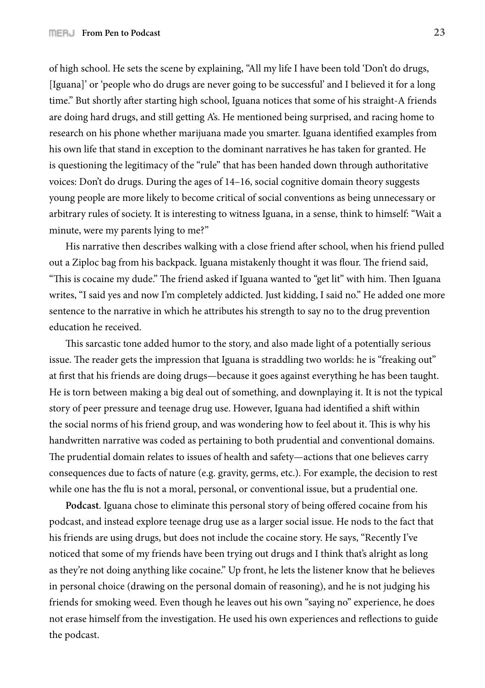of high school. He sets the scene by explaining, "All my life I have been told 'Don't do drugs, [Iguana]' or 'people who do drugs are never going to be successful' and I believed it for a long time." But shortly after starting high school, Iguana notices that some of his straight-A friends are doing hard drugs, and still getting A's. He mentioned being surprised, and racing home to research on his phone whether marijuana made you smarter. Iguana identified examples from his own life that stand in exception to the dominant narratives he has taken for granted. He is questioning the legitimacy of the "rule" that has been handed down through authoritative voices: Don't do drugs. During the ages of 14–16, social cognitive domain theory suggests young people are more likely to become critical of social conventions as being unnecessary or arbitrary rules of society. It is interesting to witness Iguana, in a sense, think to himself: "Wait a minute, were my parents lying to me?"

His narrative then describes walking with a close friend after school, when his friend pulled out a Ziploc bag from his backpack. Iguana mistakenly thought it was flour. The friend said, "This is cocaine my dude." The friend asked if Iguana wanted to "get lit" with him. Then Iguana writes, "I said yes and now I'm completely addicted. Just kidding, I said no." He added one more sentence to the narrative in which he attributes his strength to say no to the drug prevention education he received.

This sarcastic tone added humor to the story, and also made light of a potentially serious issue. The reader gets the impression that Iguana is straddling two worlds: he is "freaking out" at first that his friends are doing drugs—because it goes against everything he has been taught. He is torn between making a big deal out of something, and downplaying it. It is not the typical story of peer pressure and teenage drug use. However, Iguana had identified a shift within the social norms of his friend group, and was wondering how to feel about it. This is why his handwritten narrative was coded as pertaining to both prudential and conventional domains. The prudential domain relates to issues of health and safety—actions that one believes carry consequences due to facts of nature (e.g. gravity, germs, etc.). For example, the decision to rest while one has the flu is not a moral, personal, or conventional issue, but a prudential one.

Podcast. Iguana chose to eliminate this personal story of being offered cocaine from his podcast, and instead explore teenage drug use as a larger social issue. He nods to the fact that his friends are using drugs, but does not include the cocaine story. He says, "Recently I've noticed that some of my friends have been trying out drugs and I think that's alright as long as they're not doing anything like cocaine." Up front, he lets the listener know that he believes in personal choice (drawing on the personal domain of reasoning), and he is not judging his friends for smoking weed. Even though he leaves out his own "saying no" experience, he does not erase himself from the investigation. He used his own experiences and reflections to guide the podcast.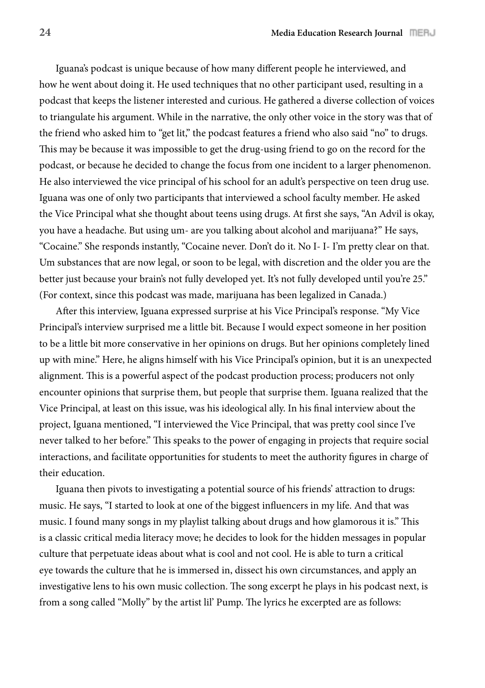Iguana's podcast is unique because of how many different people he interviewed, and how he went about doing it. He used techniques that no other participant used, resulting in a podcast that keeps the listener interested and curious. He gathered a diverse collection of voices to triangulate his argument. While in the narrative, the only other voice in the story was that of the friend who asked him to "get lit," the podcast features a friend who also said "no" to drugs. This may be because it was impossible to get the drug-using friend to go on the record for the podcast, or because he decided to change the focus from one incident to a larger phenomenon. He also interviewed the vice principal of his school for an adult's perspective on teen drug use. Iguana was one of only two participants that interviewed a school faculty member. He asked the Vice Principal what she thought about teens using drugs. At first she says, "An Advil is okay, you have a headache. But using um- are you talking about alcohol and marijuana?" He says, "Cocaine." She responds instantly, "Cocaine never. Don't do it. No I- I- I'm pretty clear on that. Um substances that are now legal, or soon to be legal, with discretion and the older you are the better just because your brain's not fully developed yet. It's not fully developed until you're 25." (For context, since this podcast was made, marijuana has been legalized in Canada.)

After this interview, Iguana expressed surprise at his Vice Principal's response. "My Vice Principal's interview surprised me a little bit. Because I would expect someone in her position to be a little bit more conservative in her opinions on drugs. But her opinions completely lined up with mine." Here, he aligns himself with his Vice Principal's opinion, but it is an unexpected alignment. This is a powerful aspect of the podcast production process; producers not only encounter opinions that surprise them, but people that surprise them. Iguana realized that the Vice Principal, at least on this issue, was his ideological ally. In his \$nal interview about the project, Iguana mentioned, "I interviewed the Vice Principal, that was pretty cool since I've never talked to her before." This speaks to the power of engaging in projects that require social interactions, and facilitate opportunities for students to meet the authority figures in charge of their education.

Iguana then pivots to investigating a potential source of his friends' attraction to drugs: music. He says, "I started to look at one of the biggest influencers in my life. And that was music. I found many songs in my playlist talking about drugs and how glamorous it is." This is a classic critical media literacy move; he decides to look for the hidden messages in popular culture that perpetuate ideas about what is cool and not cool. He is able to turn a critical eye towards the culture that he is immersed in, dissect his own circumstances, and apply an investigative lens to his own music collection. The song excerpt he plays in his podcast next, is from a song called "Molly" by the artist lil' Pump. The lyrics he excerpted are as follows: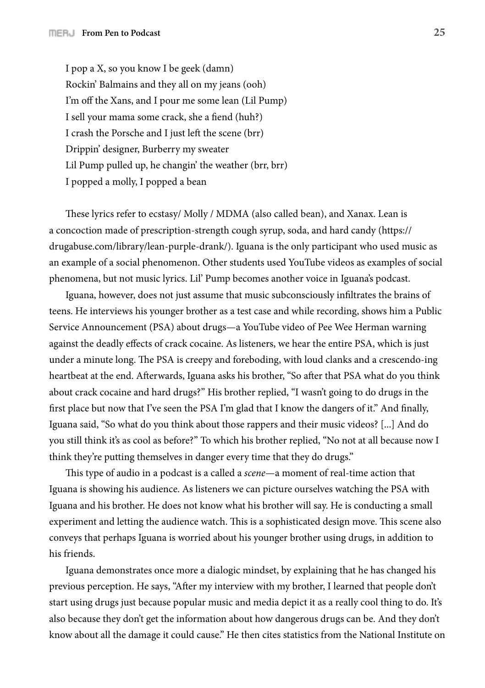I pop a X, so you know I be geek (damn) Rockin' Balmains and they all on my jeans (ooh) I'm off the Xans, and I pour me some lean (Lil Pump) I sell your mama some crack, she a fiend (huh?) I crash the Porsche and I just left the scene (brr) Drippin' designer, Burberry my sweater Lil Pump pulled up, he changin' the weather (brr, brr) I popped a molly, I popped a bean

These lyrics refer to ecstasy/ Molly / MDMA (also called bean), and Xanax. Lean is a concoction made of prescription-strength cough syrup, soda, and hard candy (https:// drugabuse.com/library/lean-purple-drank/). Iguana is the only participant who used music as an example of a social phenomenon. Other students used YouTube videos as examples of social phenomena, but not music lyrics. Lil' Pump becomes another voice in Iguana's podcast.

Iguana, however, does not just assume that music subconsciously infiltrates the brains of teens. He interviews his younger brother as a test case and while recording, shows him a Public Service Announcement (PSA) about drugs—a YouTube video of Pee Wee Herman warning against the deadly effects of crack cocaine. As listeners, we hear the entire PSA, which is just under a minute long. The PSA is creepy and foreboding, with loud clanks and a crescendo-ing heartbeat at the end. Afterwards, Iguana asks his brother, "So after that PSA what do you think about crack cocaine and hard drugs?" His brother replied, "I wasn't going to do drugs in the first place but now that I've seen the PSA I'm glad that I know the dangers of it." And finally, Iguana said, "So what do you think about those rappers and their music videos? [...] And do you still think it's as cool as before?" To which his brother replied, "No not at all because now I think they're putting themselves in danger every time that they do drugs."

!is type of audio in a podcast is a called a *scene*—a moment of real-time action that Iguana is showing his audience. As listeners we can picture ourselves watching the PSA with Iguana and his brother. He does not know what his brother will say. He is conducting a small experiment and letting the audience watch. This is a sophisticated design move. This scene also conveys that perhaps Iguana is worried about his younger brother using drugs, in addition to his friends.

Iguana demonstrates once more a dialogic mindset, by explaining that he has changed his previous perception. He says, "After my interview with my brother, I learned that people don't start using drugs just because popular music and media depict it as a really cool thing to do. It's also because they don't get the information about how dangerous drugs can be. And they don't know about all the damage it could cause." He then cites statistics from the National Institute on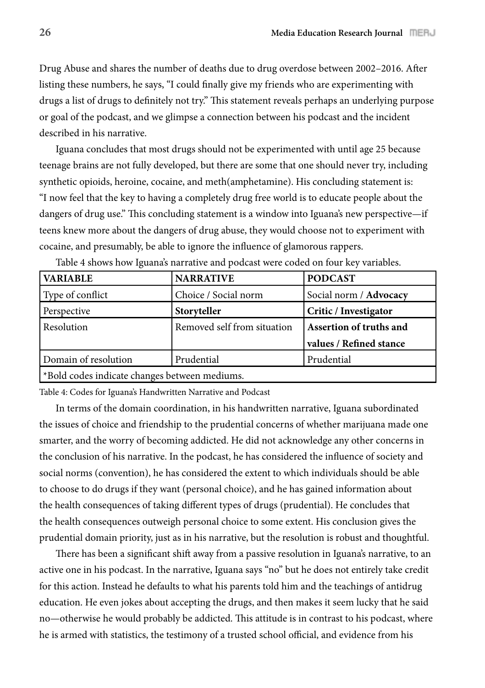Drug Abuse and shares the number of deaths due to drug overdose between 2002–2016. After listing these numbers, he says, "I could finally give my friends who are experimenting with drugs a list of drugs to definitely not try." This statement reveals perhaps an underlying purpose or goal of the podcast, and we glimpse a connection between his podcast and the incident described in his narrative.

Iguana concludes that most drugs should not be experimented with until age 25 because teenage brains are not fully developed, but there are some that one should never try, including synthetic opioids, heroine, cocaine, and meth(amphetamine). His concluding statement is: "I now feel that the key to having a completely drug free world is to educate people about the dangers of drug use." This concluding statement is a window into Iguana's new perspective—if teens knew more about the dangers of drug abuse, they would choose not to experiment with cocaine, and presumably, be able to ignore the influence of glamorous rappers.

| <b>VARIABLE</b>                               | <b>NARRATIVE</b>            | <b>PODCAST</b>          |
|-----------------------------------------------|-----------------------------|-------------------------|
| Type of conflict                              | Choice / Social norm        | Social norm / Advocacy  |
| Perspective                                   | Storyteller                 | Critic / Investigator   |
| Resolution                                    | Removed self from situation | Assertion of truths and |
|                                               |                             | values / Refined stance |
| Domain of resolution                          | Prudential                  | Prudential              |
| *Bold codes indicate changes between mediums. |                             |                         |

Table 4 shows how Iguana's narrative and podcast were coded on four key variables.

Table 4: Codes for Iguana's Handwritten Narrative and Podcast

In terms of the domain coordination, in his handwritten narrative, Iguana subordinated the issues of choice and friendship to the prudential concerns of whether marijuana made one smarter, and the worry of becoming addicted. He did not acknowledge any other concerns in the conclusion of his narrative. In the podcast, he has considered the influence of society and social norms (convention), he has considered the extent to which individuals should be able to choose to do drugs if they want (personal choice), and he has gained information about the health consequences of taking different types of drugs (prudential). He concludes that the health consequences outweigh personal choice to some extent. His conclusion gives the prudential domain priority, just as in his narrative, but the resolution is robust and thoughtful.

There has been a significant shift away from a passive resolution in Iguana's narrative, to an active one in his podcast. In the narrative, Iguana says "no" but he does not entirely take credit for this action. Instead he defaults to what his parents told him and the teachings of antidrug education. He even jokes about accepting the drugs, and then makes it seem lucky that he said no—otherwise he would probably be addicted. This attitude is in contrast to his podcast, where he is armed with statistics, the testimony of a trusted school official, and evidence from his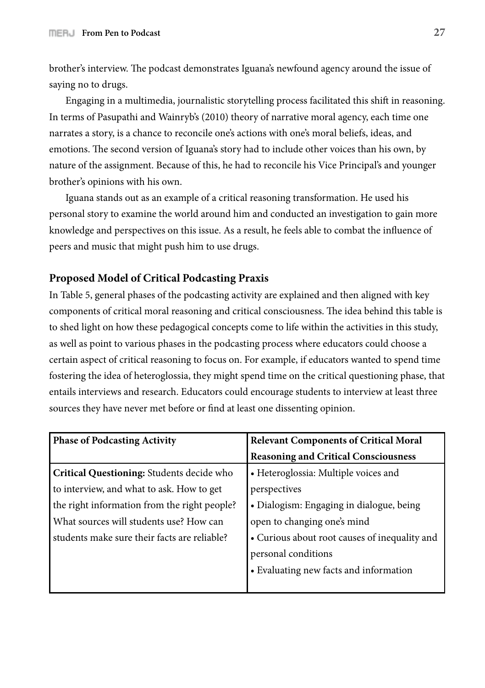brother's interview. The podcast demonstrates Iguana's newfound agency around the issue of saying no to drugs.

Engaging in a multimedia, journalistic storytelling process facilitated this shift in reasoning. In terms of Pasupathi and Wainryb's (2010) theory of narrative moral agency, each time one narrates a story, is a chance to reconcile one's actions with one's moral beliefs, ideas, and emotions. The second version of Iguana's story had to include other voices than his own, by nature of the assignment. Because of this, he had to reconcile his Vice Principal's and younger brother's opinions with his own.

Iguana stands out as an example of a critical reasoning transformation. He used his personal story to examine the world around him and conducted an investigation to gain more knowledge and perspectives on this issue. As a result, he feels able to combat the influence of peers and music that might push him to use drugs.

## **Proposed Model of Critical Podcasting Praxis**

In Table 5, general phases of the podcasting activity are explained and then aligned with key components of critical moral reasoning and critical consciousness. The idea behind this table is to shed light on how these pedagogical concepts come to life within the activities in this study, as well as point to various phases in the podcasting process where educators could choose a certain aspect of critical reasoning to focus on. For example, if educators wanted to spend time fostering the idea of heteroglossia, they might spend time on the critical questioning phase, that entails interviews and research. Educators could encourage students to interview at least three sources they have never met before or find at least one dissenting opinion.

| <b>Phase of Podcasting Activity</b>          | <b>Relevant Components of Critical Moral</b>  |
|----------------------------------------------|-----------------------------------------------|
|                                              | <b>Reasoning and Critical Consciousness</b>   |
| Critical Questioning: Students decide who    | • Heteroglossia: Multiple voices and          |
| to interview, and what to ask. How to get    | perspectives                                  |
| the right information from the right people? | • Dialogism: Engaging in dialogue, being      |
| What sources will students use? How can      | open to changing one's mind                   |
| students make sure their facts are reliable? | • Curious about root causes of inequality and |
|                                              | personal conditions                           |
|                                              | • Evaluating new facts and information        |
|                                              |                                               |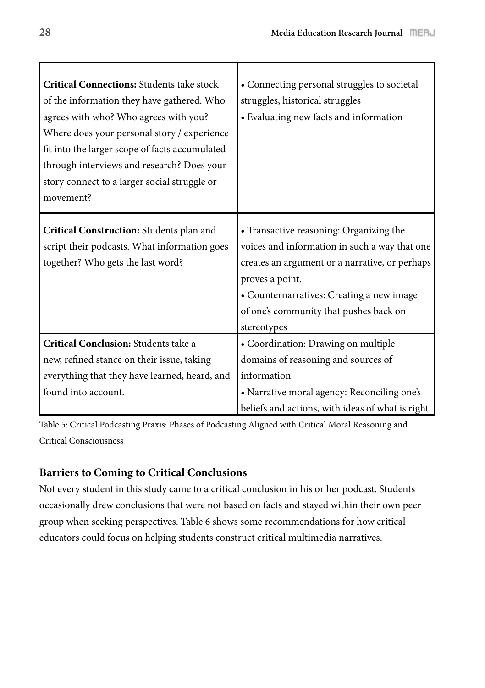| <b>Critical Connections: Students take stock</b><br>of the information they have gathered. Who<br>agrees with who? Who agrees with you?<br>Where does your personal story / experience | • Connecting personal struggles to societal<br>struggles, historical struggles<br>• Evaluating new facts and information |
|----------------------------------------------------------------------------------------------------------------------------------------------------------------------------------------|--------------------------------------------------------------------------------------------------------------------------|
| fit into the larger scope of facts accumulated                                                                                                                                         |                                                                                                                          |
| through interviews and research? Does your<br>story connect to a larger social struggle or<br>movement?                                                                                |                                                                                                                          |
| Critical Construction: Students plan and                                                                                                                                               | • Transactive reasoning: Organizing the                                                                                  |
| script their podcasts. What information goes                                                                                                                                           | voices and information in such a way that one                                                                            |
| together? Who gets the last word?                                                                                                                                                      | creates an argument or a narrative, or perhaps                                                                           |
|                                                                                                                                                                                        | proves a point.                                                                                                          |
|                                                                                                                                                                                        | • Counternarratives: Creating a new image                                                                                |
|                                                                                                                                                                                        | of one's community that pushes back on                                                                                   |
|                                                                                                                                                                                        | stereotypes                                                                                                              |
| Critical Conclusion: Students take a                                                                                                                                                   | • Coordination: Drawing on multiple                                                                                      |
| new, refined stance on their issue, taking                                                                                                                                             | domains of reasoning and sources of                                                                                      |
| everything that they have learned, heard, and                                                                                                                                          | information                                                                                                              |
| found into account.                                                                                                                                                                    | • Narrative moral agency: Reconciling one's                                                                              |
|                                                                                                                                                                                        | beliefs and actions, with ideas of what is right                                                                         |

Table 5: Critical Podcasting Praxis: Phases of Podcasting Aligned with Critical Moral Reasoning and Critical Consciousness

# **Barriers to Coming to Critical Conclusions**

Not every student in this study came to a critical conclusion in his or her podcast. Students occasionally drew conclusions that were not based on facts and stayed within their own peer group when seeking perspectives. Table 6 shows some recommendations for how critical educators could focus on helping students construct critical multimedia narratives.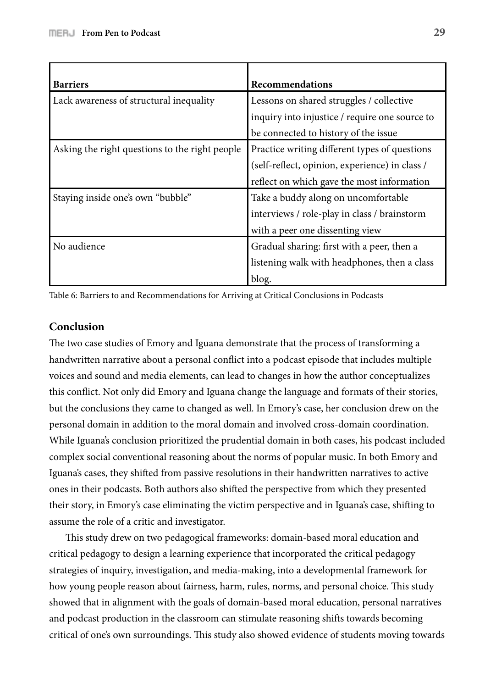| <b>Barriers</b>                                | Recommendations                                |
|------------------------------------------------|------------------------------------------------|
| Lack awareness of structural inequality        | Lessons on shared struggles / collective       |
|                                                | inquiry into injustice / require one source to |
|                                                | be connected to history of the issue           |
| Asking the right questions to the right people | Practice writing different types of questions  |
|                                                | (self-reflect, opinion, experience) in class / |
|                                                | reflect on which gave the most information     |
| Staying inside one's own "bubble"              | Take a buddy along on uncomfortable            |
|                                                | interviews / role-play in class / brainstorm   |
|                                                | with a peer one dissenting view                |
| No audience                                    | Gradual sharing: first with a peer, then a     |
|                                                | listening walk with headphones, then a class   |
|                                                | blog.                                          |

Table 6: Barriers to and Recommendations for Arriving at Critical Conclusions in Podcasts

## **Conclusion**

The two case studies of Emory and Iguana demonstrate that the process of transforming a handwritten narrative about a personal conflict into a podcast episode that includes multiple voices and sound and media elements, can lead to changes in how the author conceptualizes this conflict. Not only did Emory and Iguana change the language and formats of their stories, but the conclusions they came to changed as well. In Emory's case, her conclusion drew on the personal domain in addition to the moral domain and involved cross-domain coordination. While Iguana's conclusion prioritized the prudential domain in both cases, his podcast included complex social conventional reasoning about the norms of popular music. In both Emory and Iguana's cases, they shifted from passive resolutions in their handwritten narratives to active ones in their podcasts. Both authors also shifted the perspective from which they presented their story, in Emory's case eliminating the victim perspective and in Iguana's case, shifting to assume the role of a critic and investigator.

This study drew on two pedagogical frameworks: domain-based moral education and critical pedagogy to design a learning experience that incorporated the critical pedagogy strategies of inquiry, investigation, and media-making, into a developmental framework for how young people reason about fairness, harm, rules, norms, and personal choice. This study showed that in alignment with the goals of domain-based moral education, personal narratives and podcast production in the classroom can stimulate reasoning shifts towards becoming critical of one's own surroundings. This study also showed evidence of students moving towards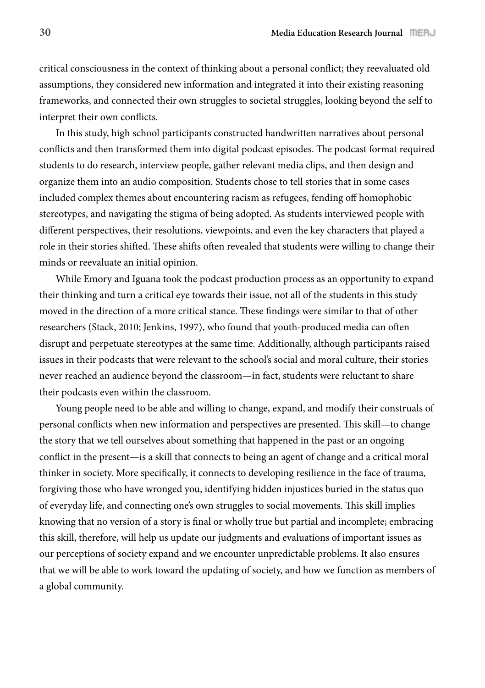critical consciousness in the context of thinking about a personal con#ict; they reevaluated old assumptions, they considered new information and integrated it into their existing reasoning frameworks, and connected their own struggles to societal struggles, looking beyond the self to interpret their own conflicts.

In this study, high school participants constructed handwritten narratives about personal conflicts and then transformed them into digital podcast episodes. The podcast format required students to do research, interview people, gather relevant media clips, and then design and organize them into an audio composition. Students chose to tell stories that in some cases included complex themes about encountering racism as refugees, fending off homophobic stereotypes, and navigating the stigma of being adopted. As students interviewed people with different perspectives, their resolutions, viewpoints, and even the key characters that played a role in their stories shifted. These shifts often revealed that students were willing to change their minds or reevaluate an initial opinion.

While Emory and Iguana took the podcast production process as an opportunity to expand their thinking and turn a critical eye towards their issue, not all of the students in this study moved in the direction of a more critical stance. These findings were similar to that of other researchers (Stack, 2010; Jenkins, 1997), who found that youth-produced media can often disrupt and perpetuate stereotypes at the same time. Additionally, although participants raised issues in their podcasts that were relevant to the school's social and moral culture, their stories never reached an audience beyond the classroom—in fact, students were reluctant to share their podcasts even within the classroom.

Young people need to be able and willing to change, expand, and modify their construals of personal conflicts when new information and perspectives are presented. This skill—to change the story that we tell ourselves about something that happened in the past or an ongoing conflict in the present—is a skill that connects to being an agent of change and a critical moral thinker in society. More specifically, it connects to developing resilience in the face of trauma, forgiving those who have wronged you, identifying hidden injustices buried in the status quo of everyday life, and connecting one's own struggles to social movements. !is skill implies knowing that no version of a story is final or wholly true but partial and incomplete; embracing this skill, therefore, will help us update our judgments and evaluations of important issues as our perceptions of society expand and we encounter unpredictable problems. It also ensures that we will be able to work toward the updating of society, and how we function as members of a global community.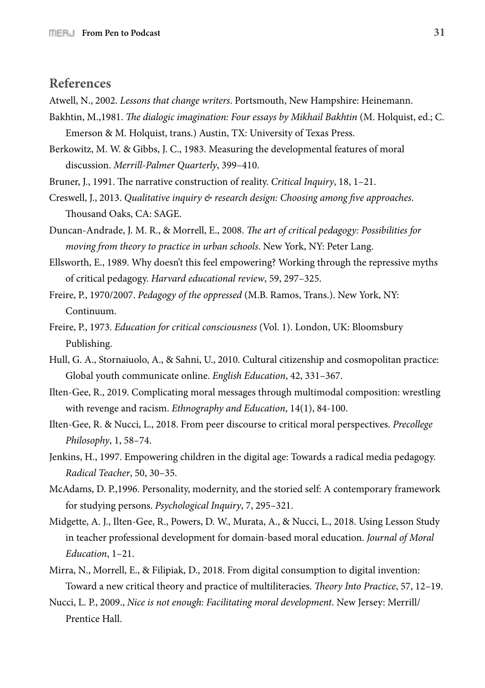## **References**

Atwell, N., 2002. *Lessons that change writers*. Portsmouth, New Hampshire: Heinemann.

- Bakhtin, M.,1981. "*e dialogic imagination: Four essays by Mikhail Bakhtin* (M. Holquist, ed.; C. Emerson & M. Holquist, trans.) Austin, TX: University of Texas Press.
- Berkowitz, M. W. & Gibbs, J. C., 1983. Measuring the developmental features of moral discussion. *Merrill-Palmer Quarterly*, 399–410.
- Bruner, J., 1991. The narrative construction of reality. *Critical Inquiry*, 18, 1–21.
- Creswell, J., 2013. *Qualitative inquiry & research design: Choosing among five approaches.* Thousand Oaks, CA: SAGE.

Duncan-Andrade, J. M. R., & Morrell, E., 2008. *The art of critical pedagogy: Possibilities for moving from theory to practice in urban schools*. New York, NY: Peter Lang.

- Ellsworth, E., 1989. Why doesn't this feel empowering? Working through the repressive myths of critical pedagogy. *Harvard educational review*, 59, 297–325.
- Freire, P., 1970/2007. *Pedagogy of the oppressed* (M.B. Ramos, Trans.). New York, NY: Continuum.
- Freire, P., 1973. *Education for critical consciousness* (Vol. 1). London, UK: Bloomsbury Publishing.
- Hull, G. A., Stornaiuolo, A., & Sahni, U., 2010. Cultural citizenship and cosmopolitan practice: Global youth communicate online. *English Education*, 42, 331–367.
- Ilten-Gee, R., 2019. Complicating moral messages through multimodal composition: wrestling with revenge and racism. *Ethnography and Education*, 14(1), 84-100.
- Ilten-Gee, R. & Nucci, L., 2018. From peer discourse to critical moral perspectives. *Precollege Philosophy*, 1, 58–74.
- Jenkins, H., 1997. Empowering children in the digital age: Towards a radical media pedagogy. *Radical Teacher*, 50, 30–35.
- McAdams, D. P.,1996. Personality, modernity, and the storied self: A contemporary framework for studying persons. *Psychological Inquiry*, 7, 295–321.
- Midgette, A. J., Ilten-Gee, R., Powers, D. W., Murata, A., & Nucci, L., 2018. Using Lesson Study in teacher professional development for domain-based moral education. *Journal of Moral Education*, 1–21.
- Mirra, N., Morrell, E., & Filipiak, D., 2018. From digital consumption to digital invention: Toward a new critical theory and practice of multiliteracies. Theory Into Practice, 57, 12-19.
- Nucci, L. P., 2009., *Nice is not enough: Facilitating moral development*. New Jersey: Merrill/ Prentice Hall.